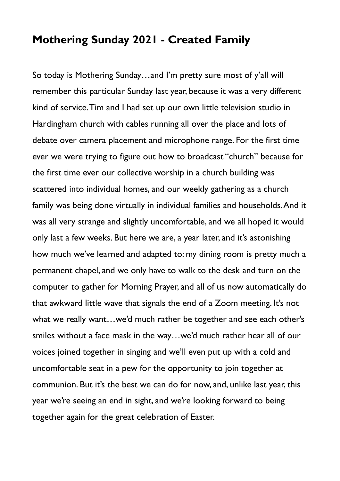## **Mothering Sunday 2021 - Created Family**

So today is Mothering Sunday…and I'm pretty sure most of y'all will remember this particular Sunday last year, because it was a very different kind of service. Tim and I had set up our own little television studio in Hardingham church with cables running all over the place and lots of debate over camera placement and microphone range. For the first time ever we were trying to figure out how to broadcast "church" because for the first time ever our collective worship in a church building was scattered into individual homes, and our weekly gathering as a church family was being done virtually in individual families and households. And it was all very strange and slightly uncomfortable, and we all hoped it would only last a few weeks. But here we are, a year later, and it's astonishing how much we've learned and adapted to: my dining room is pretty much a permanent chapel, and we only have to walk to the desk and turn on the computer to gather for Morning Prayer, and all of us now automatically do that awkward little wave that signals the end of a Zoom meeting. It's not what we really want…we'd much rather be together and see each other's smiles without a face mask in the way…we'd much rather hear all of our voices joined together in singing and we'll even put up with a cold and uncomfortable seat in a pew for the opportunity to join together at communion. But it's the best we can do for now, and, unlike last year, this year we're seeing an end in sight, and we're looking forward to being together again for the great celebration of Easter.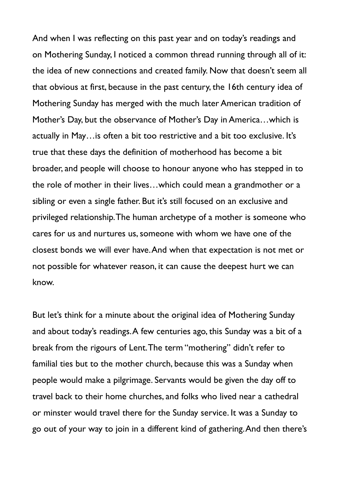And when I was reflecting on this past year and on today's readings and on Mothering Sunday, I noticed a common thread running through all of it: the idea of new connections and created family. Now that doesn't seem all that obvious at first, because in the past century, the 16th century idea of Mothering Sunday has merged with the much later American tradition of Mother's Day, but the observance of Mother's Day in America…which is actually in May…is often a bit too restrictive and a bit too exclusive. It's true that these days the definition of motherhood has become a bit broader, and people will choose to honour anyone who has stepped in to the role of mother in their lives…which could mean a grandmother or a sibling or even a single father. But it's still focused on an exclusive and privileged relationship. The human archetype of a mother is someone who cares for us and nurtures us, someone with whom we have one of the closest bonds we will ever have. And when that expectation is not met or not possible for whatever reason, it can cause the deepest hurt we can know.

But let's think for a minute about the original idea of Mothering Sunday and about today's readings. A few centuries ago, this Sunday was a bit of a break from the rigours of Lent. The term "mothering" didn't refer to familial ties but to the mother church, because this was a Sunday when people would make a pilgrimage. Servants would be given the day off to travel back to their home churches, and folks who lived near a cathedral or minster would travel there for the Sunday service. It was a Sunday to go out of your way to join in a different kind of gathering. And then there's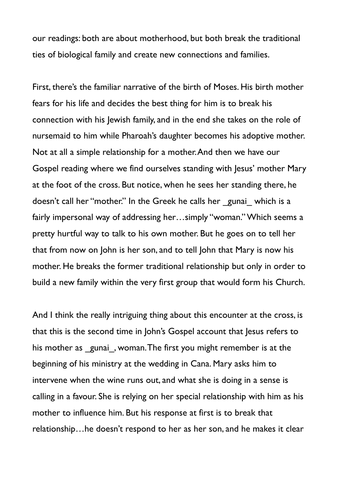our readings: both are about motherhood, but both break the traditional ties of biological family and create new connections and families.

First, there's the familiar narrative of the birth of Moses. His birth mother fears for his life and decides the best thing for him is to break his connection with his Jewish family, and in the end she takes on the role of nursemaid to him while Pharoah's daughter becomes his adoptive mother. Not at all a simple relationship for a mother. And then we have our Gospel reading where we find ourselves standing with Jesus' mother Mary at the foot of the cross. But notice, when he sees her standing there, he doesn't call her "mother." In the Greek he calls her gunai which is a fairly impersonal way of addressing her…simply "woman." Which seems a pretty hurtful way to talk to his own mother. But he goes on to tell her that from now on John is her son, and to tell John that Mary is now his mother. He breaks the former traditional relationship but only in order to build a new family within the very first group that would form his Church.

And I think the really intriguing thing about this encounter at the cross, is that this is the second time in John's Gospel account that Jesus refers to his mother as gunai, woman. The first you might remember is at the beginning of his ministry at the wedding in Cana. Mary asks him to intervene when the wine runs out, and what she is doing in a sense is calling in a favour. She is relying on her special relationship with him as his mother to influence him. But his response at first is to break that relationship…he doesn't respond to her as her son, and he makes it clear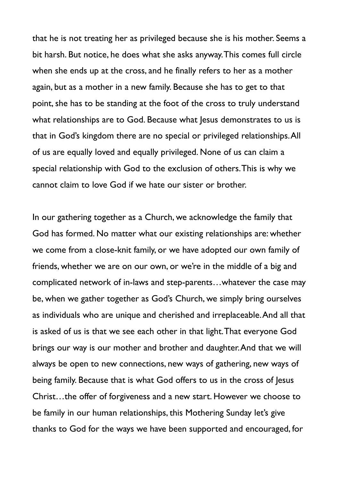that he is not treating her as privileged because she is his mother. Seems a bit harsh. But notice, he does what she asks anyway. This comes full circle when she ends up at the cross, and he finally refers to her as a mother again, but as a mother in a new family. Because she has to get to that point, she has to be standing at the foot of the cross to truly understand what relationships are to God. Because what Jesus demonstrates to us is that in God's kingdom there are no special or privileged relationships. All of us are equally loved and equally privileged. None of us can claim a special relationship with God to the exclusion of others. This is why we cannot claim to love God if we hate our sister or brother.

In our gathering together as a Church, we acknowledge the family that God has formed. No matter what our existing relationships are: whether we come from a close-knit family, or we have adopted our own family of friends, whether we are on our own, or we're in the middle of a big and complicated network of in-laws and step-parents…whatever the case may be, when we gather together as God's Church, we simply bring ourselves as individuals who are unique and cherished and irreplaceable. And all that is asked of us is that we see each other in that light. That everyone God brings our way is our mother and brother and daughter. And that we will always be open to new connections, new ways of gathering, new ways of being family. Because that is what God offers to us in the cross of Jesus Christ…the offer of forgiveness and a new start. However we choose to be family in our human relationships, this Mothering Sunday let's give thanks to God for the ways we have been supported and encouraged, for